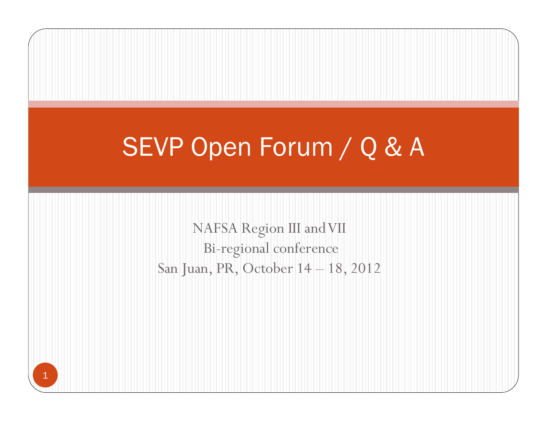# SEVP Open Forum / Q & A

NAFSA Region III and VII Bi-regional conference San Juan, PR, October 14 – 18, 2012

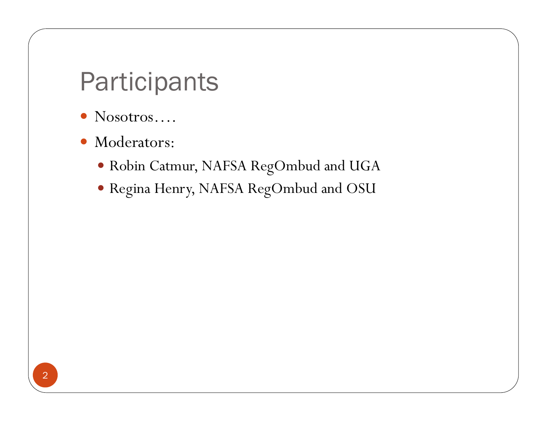## **Participants**

- $\bullet$ Nosotros….
- $\bullet$  Moderators:
	- Robin Catmur, NAFSA RegOmbud and UGA
	- Regina Henry, NAFSA RegOmbud and OSU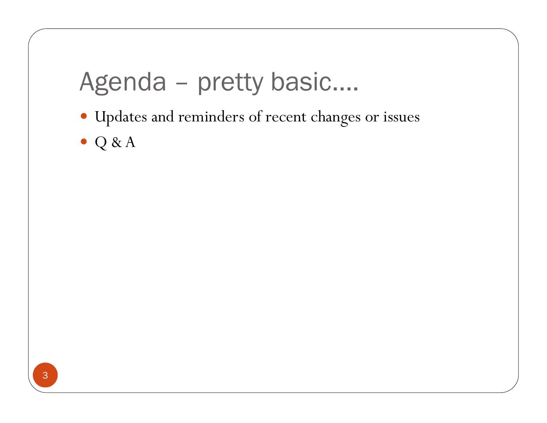## Agenda – pretty basic….

- Updates and reminders of recent changes or issues
- $\bullet$  Q & A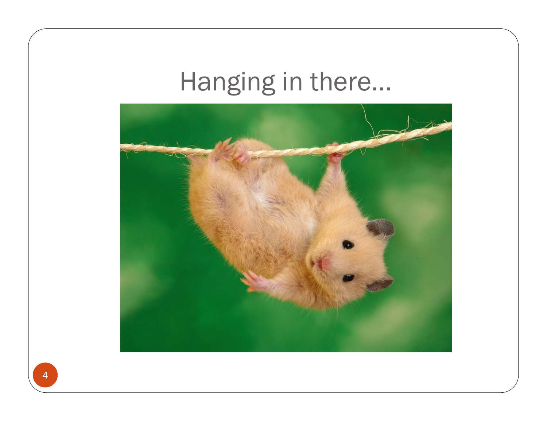# Hanging in there…

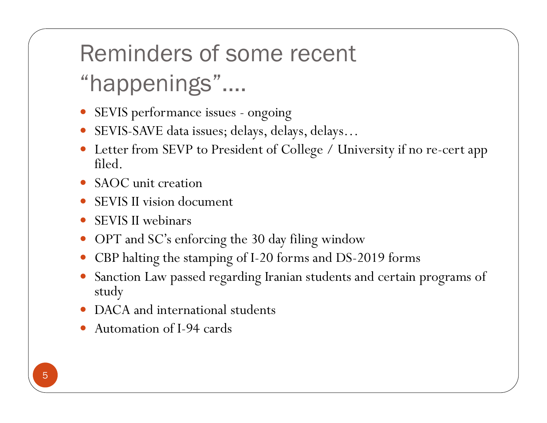# Reminders of some recent

## "happenings"….

- SEVIS performance issues ongoing
- SEVIS-SAVE data issues; delays, delays, delays…
- Letter from SEVP to President of College / University if no re-cert app filed.
- SAOC unit creation
- SEVIS II vision document
- 0 SEVIS II webinars
- 0 OPT and SC's enforcing the 30 day filing window
- 0 CBP halting the stamping of I-20 forms and DS-2019 forms
- 0 Sanction Law passed regarding Iranian students and certain programs of study
- DACA and international students
- 0 Automation of I-94 cards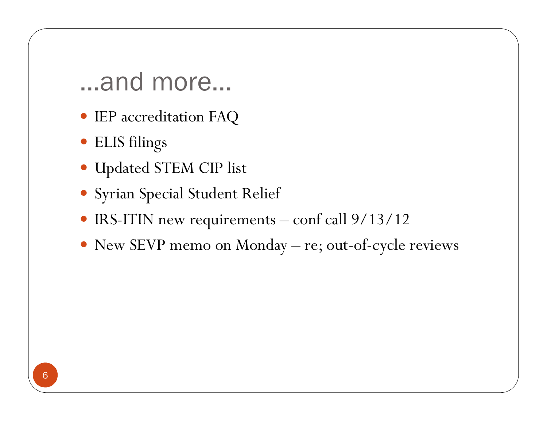- IEP accreditation FAQ
- ELIS filings
- Updated STEM CIP list
- Syrian Special Student Relief
- IRS-ITIN new requirements conf call 9/13/12
- New SEVP memo on Monday re; out-of-cycle reviews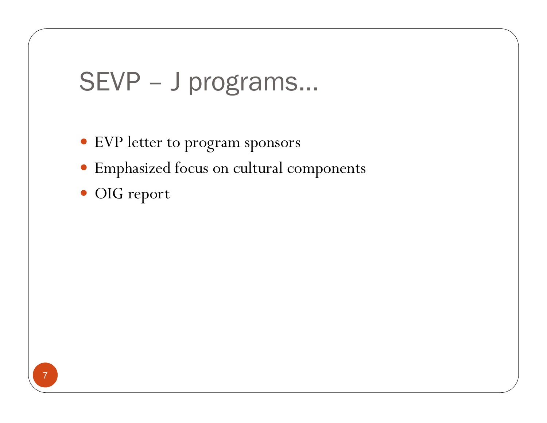## SEVP – J programs…

- EVP letter to program sponsors
- Emphasized focus on cultural components
- OIG report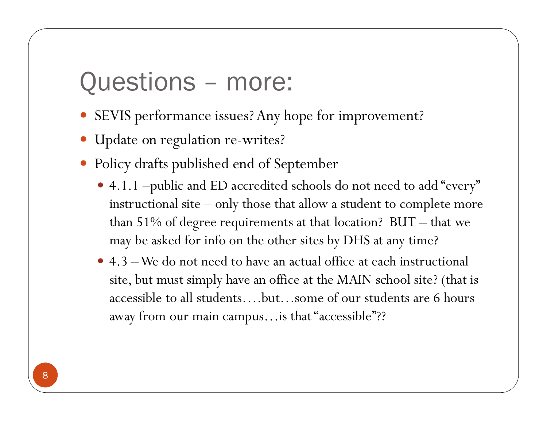## Questions – more:

- SEVIS performance issues? Any hope for improvement?
- Update on regulation re-writes?
- $\bullet$  Policy drafts published end of September
	- 4.1.1 –public and ED accredited schools do not need to add "every" instructional site – only those that allow a student to complete more than 51% of degree requirements at that location? BUT – that we may be asked for info on the other sites by DHS at any time?
	- 4.3 We do not need to have an actual office at each instructional site, but must simply have an office at the MAIN school site? (that is accessible to all students….but…some of our students are 6 hours away from our main campus…is that "accessible"??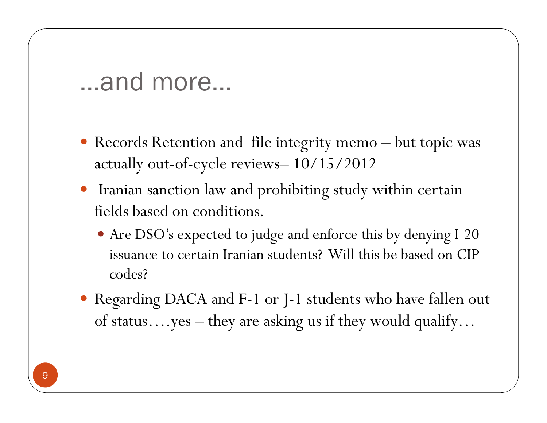- Records Retention and file integrity memo but topic was actually out-of-cycle reviews– 10/15/2012
- Iranian sanction law and prohibiting study within certain fields based on conditions.
	- Are DSO's expected to judge and enforce this by denying I-20 issuance to certain Iranian students? Will this be based on CIP codes?
- Regarding DACA and F-1 or J-1 students who have fallen out of status….yes – they are asking us if they would qualify…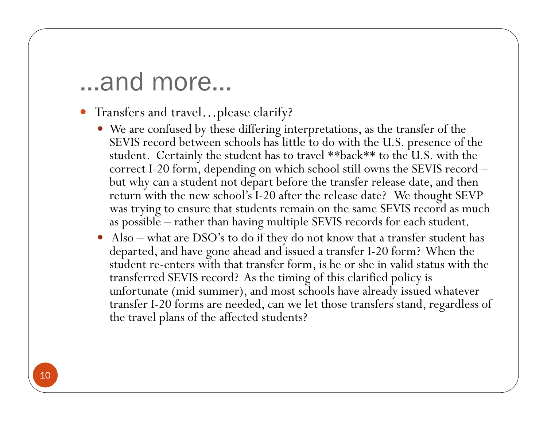- Transfers and travel…please clarify?
	- We are confused by these differing interpretations, as the transfer of the SEVIS record between schools has little to do with the U.S. presence of the student. Certainly the student has to travel \*\*back\*\* to the U.S. with the correct I-20 form, depending on which school still owns the SEVIS record – but why can a student not depart before the transfer release date, and then return with the new school's I-20 after the release date? We thought SEVP was trying to ensure that students remain on the same SEVIS record as much as possible – rather than having multiple SEVIS records for each student.
	- Also what are DSO's to do if they do not know that a transfer student has departed, and have gone ahead and issued a transfer I-20 form? When the student re-enters with that transfer form, is he or she in valid status with the transferred SEVIS record? As the timing of this clarified policy is unfortunate (mid summer), and most schools have already issued whatever transfer I-20 forms are needed, can we let those transfers stand, regardless of the travel plans of the affected students?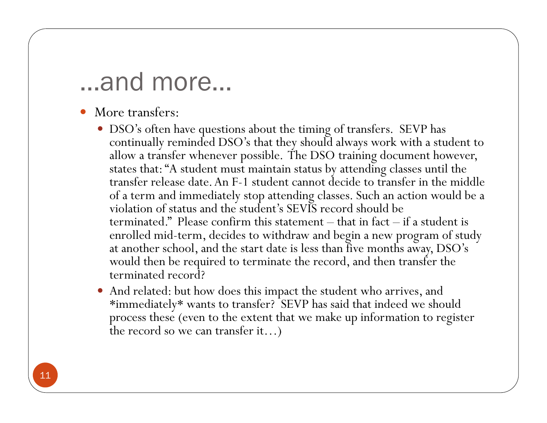- 0 More transfers:
	- DSO's often have questions about the timing of transfers. SEVP has continually reminded DSO's that they should always work with a student to allow a transfer whenever possible. The DSO training document however, states that: "A student must maintain status by attending classes until the transfer release date. An F-1 student cannot decide to transfer in the middle of a term and immediately stop attending classes. Such an action would be a violation of status and the student's SEVIS record should be terminated." Please confirm this statement – that in fact – if a student is enrolled mid-term, decides to withdraw and begin a new program of study at another school, and the start date is less than five months away, DSO's would then be required to terminate the record, and then transfer the terminated record?
	- And related: but how does this impact the student who arrives, and \*immediately\* wants to transfer? SEVP has said that indeed we should process these (even to the extent that we make up information to register the record so we can transfer it…)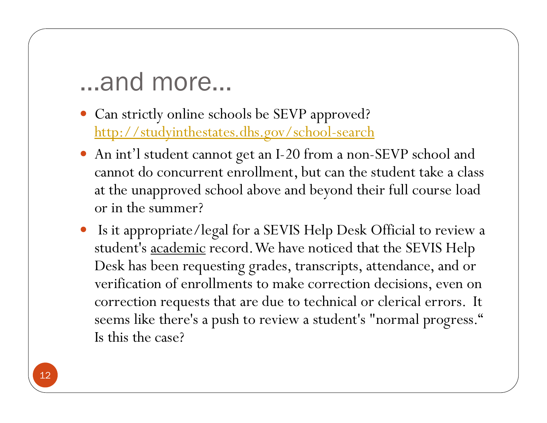- Can strictly online schools be SEVP approved? http://studyinthestates.dhs.gov/school-search
- An int'l student cannot get an I-20 from a non-SEVP school and cannot do concurrent enrollment, but can the student take a class at the unapproved school above and beyond their full course load or in the summer?
- Is it appropriate/legal for a SEVIS Help Desk Official to review a student's academic record. We have noticed that the SEVIS Help Desk has been requesting grades, transcripts, attendance, and or verification of enrollments to make correction decisions, even on correction requests that are due to technical or clerical errors. It seems like there's a push to review a student's "normal progress." Is this the case?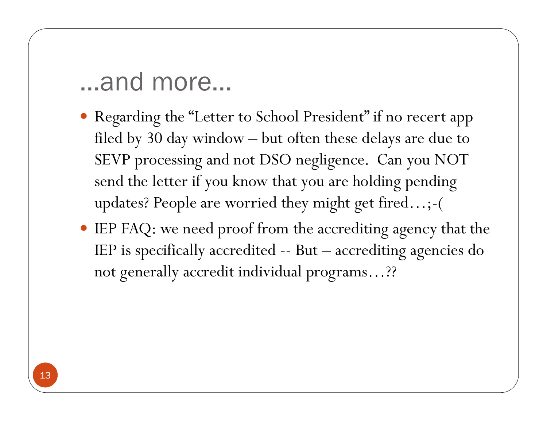- Regarding the "Letter to School President" if no recert app filed by 30 day window – but often these delays are due to SEVP processing and not DSO negligence. Can you NOT send the letter if you know that you are holding pending updates? People are worried they might get fired…;-(
- IEP FAQ: we need proof from the accrediting agency that the IEP is specifically accredited -- But – accrediting agencies do not generally accredit individual programs…??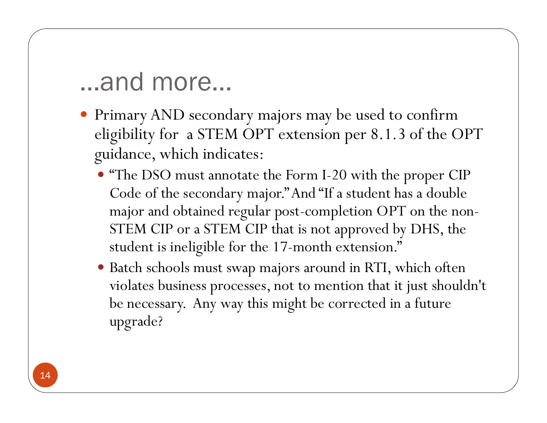- Primary AND secondary majors may be used to confirm eligibility for a STEM OPT extension per 8.1.3 of the OPT guidance, which indicates:
	- "The DSO must annotate the Form I-20 with the proper CIP Code of the secondary major." And "If a student has a double major and obtained regular post-completion OPT on the non-STEM CIP or a STEM CIP that is not approved by DHS, the student is ineligible for the 17-month extension."
	- Batch schools must swap majors around in RTI, which often violates business processes, not to mention that it just shouldn't be necessary. Any way this might be corrected in a future upgrade?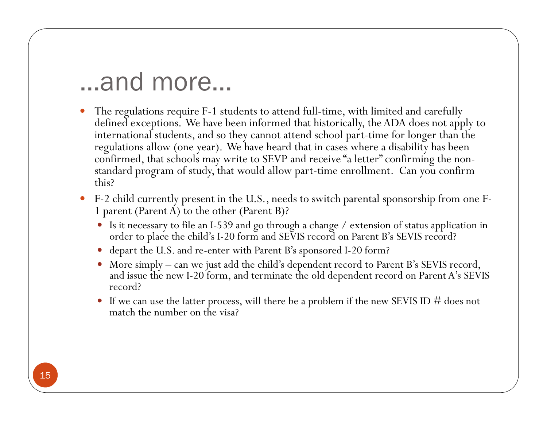- $\bullet$  The regulations require F-1 students to attend full-time, with limited and carefully defined exceptions. We have been informed that historically, the ADA does not apply to international students, and so they cannot attend school part-time for longer than the regulations allow (one year). We have heard that in cases where a disability has been confirmed, that schools may write to SEVP and receive "a letter" confirming the nonstandard program of study, that would allow part-time enrollment. Can you confirm this?
- F-2 child currently present in the U.S., needs to switch parental sponsorship from one F-1 parent (Parent A) to the other (Parent B)?
	- Is it necessary to file an I-539 and go through a change / extension of status application in order to place the child's I-20 form and SEVIS record on Parent B's SEVIS record?
	- depart the U.S. and re-enter with Parent B's sponsored I-20 form?
	- More simply can we just add the child's dependent record to Parent B's SEVIS record, and issue the new I-20 form, and terminate the old dependent record on Parent A's SEVIS record?
	- If we can use the latter process, will there be a problem if the new SEVIS ID  $\#$  does not match the number on the visa?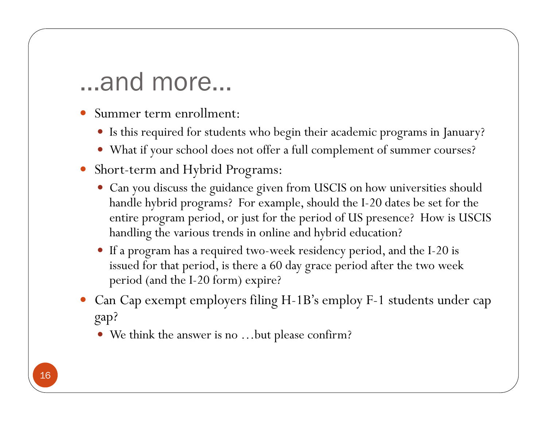- Summer term enrollment:
	- Is this required for students who begin their academic programs in January?
	- What if your school does not offer a full complement of summer courses?
- 0 Short-term and Hybrid Programs:
	- Can you discuss the guidance given from USCIS on how universities should handle hybrid programs? For example, should the I-20 dates be set for the entire program period, or just for the period of US presence? How is USCIS handling the various trends in online and hybrid education?
	- O If a program has a required two-week residency period, and the I-20 is issued for that period, is there a 60 day grace period after the two week period (and the I-20 form) expire?
- Can Cap exempt employers filing H-1B's employ F-1 students under cap gap?
	- We think the answer is no …but please confirm?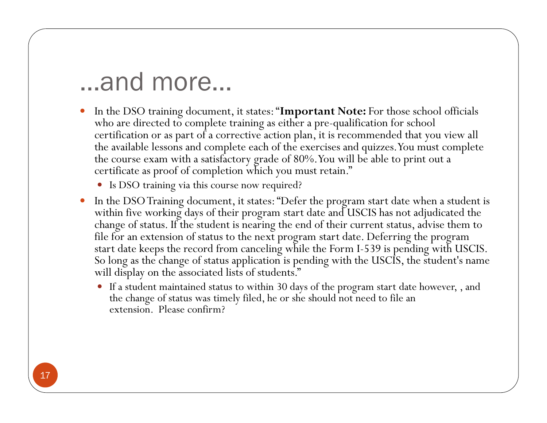- $\bullet$  In the DSO training document, it states: "**Important Note:** For those school officials who are directed to complete training as either a pre-qualification for school certification or as part of a corrective action plan, it is recommended that you view all the available lessons and complete each of the exercises and quizzes. You must complete the course exam with a satisfactory grade of 80%. You will be able to print out a certificate as proof of completion which you must retain."
	- Is DSO training via this course now required?
- $\bullet$  In the DSO Training document, it states: "Defer the program start date when a student is within five working days of their program start date and USCIS has not adjudicated the change of status. If the student is nearing the end of their current status, advise them to file for an extension of status to the next program start date. Deferring the program start date keeps the record from canceling while the Form I-539 is pending with USCIS. So long as the change of status application is pending with the USCIS, the student's name will display on the associated lists of students."
	- If a student maintained status to within 30 days of the program start date however, , and the change of status was timely filed, he or she should not need to file an extension. Please confirm?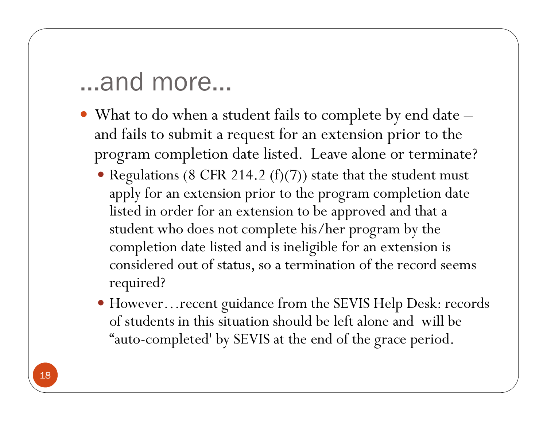- What to do when a student fails to complete by end date and fails to submit a request for an extension prior to the program completion date listed. Leave alone or terminate?
	- Regulations (8 CFR 214.2 (f)(7)) state that the student must apply for an extension prior to the program completion date listed in order for an extension to be approved and that a student who does not complete his/her program by the completion date listed and is ineligible for an extension is considered out of status, so a termination of the record seems required?
	- However…recent guidance from the SEVIS Help Desk: records of students in this situation should be left alone and will be "auto-completed' by SEVIS at the end of the grace period.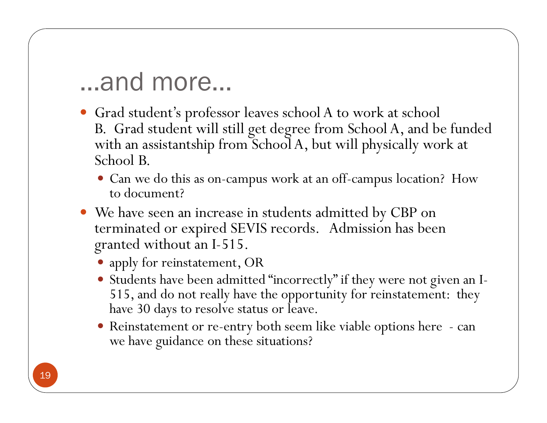- Grad student's professor leaves school A to work at school B. Grad student will still get degree from School A, and be funded with an assistantship from School A, but will physically work at School B.
	- Can we do this as on-campus work at an off-campus location? How to document?
- We have seen an increase in students admitted by CBP on terminated or expired SEVIS records. Admission has been granted without an I-515.
	- apply for reinstatement, OR
	- Students have been admitted "incorrectly" if they were not given an I-515, and do not really have the opportunity for reinstatement: they have 30 days to resolve status or leave.
	- Reinstatement or re-entry both seem like viable options here can we have guidance on these situations?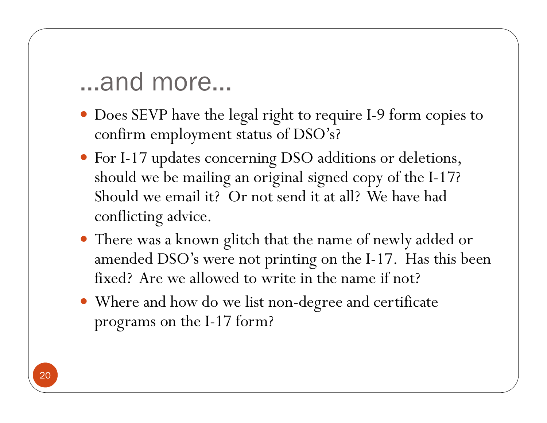- Does SEVP have the legal right to require I-9 form copies to confirm employment status of DSO's?
- For I-17 updates concerning DSO additions or deletions, should we be mailing an original signed copy of the I-17? Should we email it? Or not send it at all? We have had conflicting advice.
- There was a known glitch that the name of newly added or amended DSO's were not printing on the I-17. Has this been fixed? Are we allowed to write in the name if not?
- Where and how do we list non-degree and certificate programs on the I-17 form?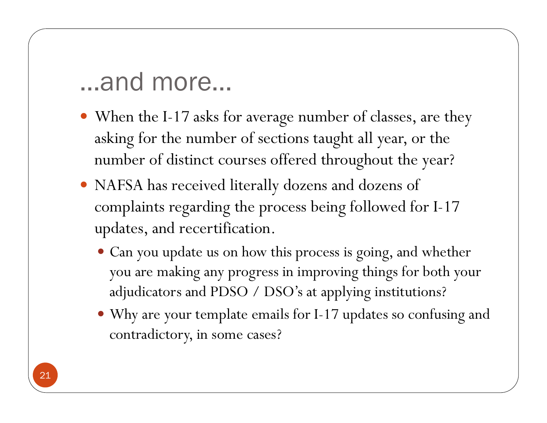- When the I-17 asks for average number of classes, are they asking for the number of sections taught all year, or the number of distinct courses offered throughout the year?
- NAFSA has received literally dozens and dozens of complaints regarding the process being followed for I-17 updates, and recertification.
	- Can you update us on how this process is going, and whether you are making any progress in improving things for both your adjudicators and PDSO / DSO's at applying institutions?
	- Why are your template emails for I-17 updates so confusing and contradictory, in some cases?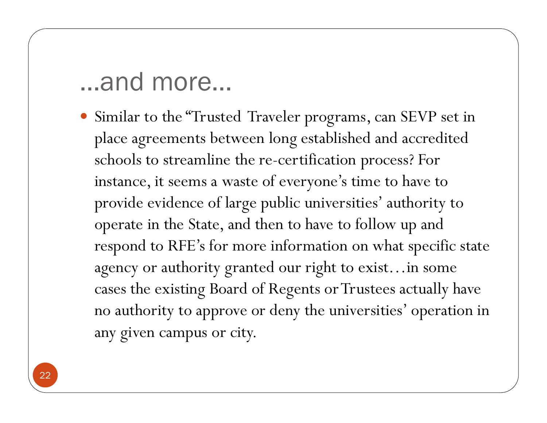Similar to the "Trusted Traveler programs, can SEVP set in <sup>p</sup>lace agreements between long established and accredited schools to streamline the re-certification process? For instance, it seems a waste of everyone's time to have to provide evidence of large public universities' authority to operate in the State, and then to have to follow up and respond to RFE's for more information on what specific state agency or authority granted our right to exist…in some cases the existing Board of Regents or Trustees actually have no authority to approve or deny the universities' operation in any given campus or city.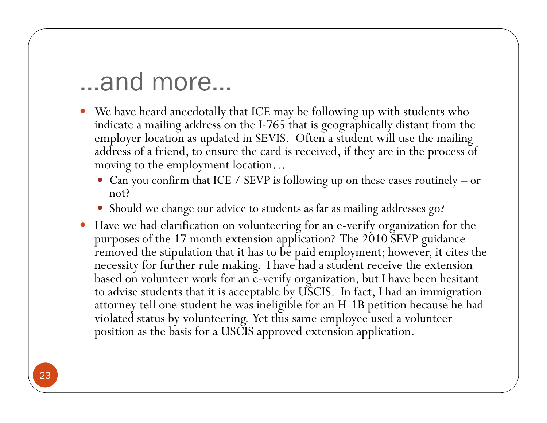- We have heard anecdotally that ICE may be following up with students who indicate a mailing address on the I-765 that is geographically distant from the employer location as updated in SEVIS. Often a student will use the mailing address of a friend, to ensure the card is received, if they are in the process of moving to the employment location…
	- Can you confirm that ICE / SEVP is following up on these cases routinely or not?
	- Should we change our advice to students as far as mailing addresses go?
- Have we had clarification on volunteering for an e-verify organization for the purposes of the 17 month extension application? The 2010 SEVP guidance removed the stipulation that it has to be paid employment; however, it cites the necessity for further rule making. I have had a student receive the extension based on volunteer work for an e-verify organization, but I have been hesitant to advise students that it is acceptable by USCIS. In fact, I had an immigration attorney tell one student he was ineligible for an H-1B petition because he had violated status by volunteering. Yet this same employee used a volunteer position as the basis for a USCIS approved extension application.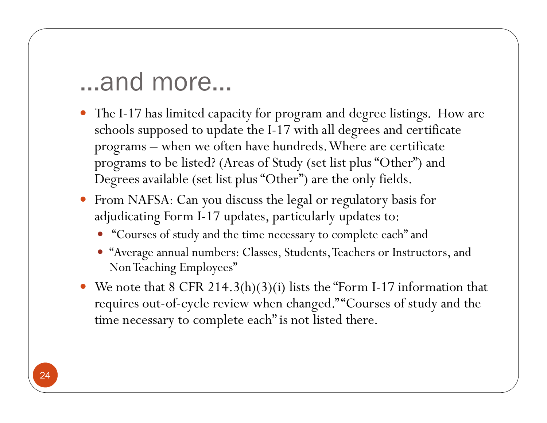- The I-17 has limited capacity for program and degree listings. How are schools supposed to update the I-17 with all degrees and certificate programs – when we often have hundreds. Where are certificate programs to be listed? (Areas of Study (set list plus "Other") and Degrees available (set list plus "Other") are the only fields.
- From NAFSA: Can you discuss the legal or regulatory basis for adjudicating Form I-17 updates, particularly updates to:
	- "Courses of study and the time necessary to complete each" and
	- "Average annual numbers: Classes, Students, Teachers or Instructors, and Non Teaching Employees"
- We note that 8 CFR 214.3(h)(3)(i) lists the "Form I-17 information that requires out-of-cycle review when changed." "Courses of study and the time necessary to complete each" is not listed there.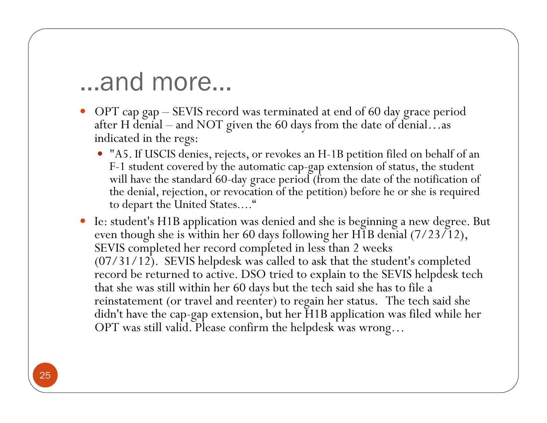- OPT cap gap SEVIS record was terminated at end of 60 day grace period after H denial – and NOT given the 60 days from the date of denial...as indicated in the regs:
	- "A5. If USCIS denies, rejects, or revokes an H-1B petition filed on behalf of an F-1 student covered by the automatic cap-gap extension of status, the student will have the standard 60-day grace period (from the date of the notification of the denial, rejection, or revocation of the petition) before he or she is required to depart the United States...."
- Ie: student's H1B application was denied and she is beginning a new degree. But even though she is within her 60 days following her H1B denial (7/23/12), SEVIS completed her record completed in less than 2 weeks  $(07/31/12)$ . SEVIS helpdesk was called to ask that the student's completed record be returned to active. DSO tried to explain to the SEVIS helpdesk tech that she was still within her 60 days but the tech said she has to file a reinstatement (or travel and reenter) to regain her status. The tech said she didn't have the cap-gap extension, but her H1B application was filed while her OPT was still valid. Please confirm the helpdesk was wrong…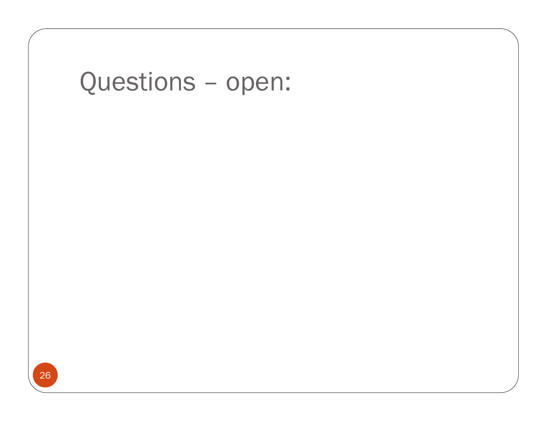# Questions – open: